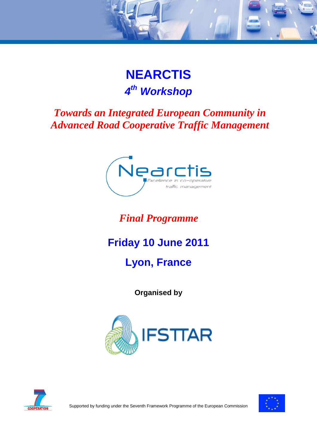# **NEARCTIS**  *4 th Workshop*

### *Towards an Integrated European Community in Advanced Road Cooperative Traffic Management*



### *Final Programme*

# **Friday 10 June 2011**

# **Lyon, France**

**Organised by**





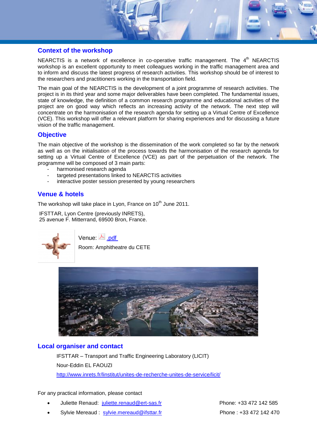#### **Context of the workshop**

NEARCTIS is a network of excellence in co-operative traffic management. The  $4<sup>th</sup>$  NEARCTIS workshop is an excellent opportunity to meet colleagues working in the traffic management area and to inform and discuss the latest progress of research activities. This workshop should be of interest to the researchers and practitioners working in the transportation field.

The main goal of the NEARCTIS is the development of a joint programme of research activities. The project is in its third year and some major deliverables have been completed. The fundamental issues, state of knowledge, the definition of a common research programme and educational activities of the project are on good way which reflects an increasing activity of the network. The next step will concentrate on the harmonisation of the research agenda for setting up a Virtual Centre of Excellence (VCE). This workshop will offer a relevant platform for sharing experiences and for discussing a future vision of the traffic management.

#### **Objective**

The main objective of the workshop is the dissemination of the work completed so far by the network as well as on the initialisation of the process towards the harmonisation of the research agenda for setting up a Virtual Centre of Excellence (VCE) as part of the perpetuation of the network. The programme will be composed of 3 main parts:

- harmonised research agenda
- targeted presentations linked to NEARCTIS activities
- interactive poster session presented by young researchers

### **Venue & hotels**

The workshop will take place in Lyon, France on 10<sup>th</sup> June 2011.

IFSTTAR, Lyon Centre (previously INRETS), 25 avenue F. Mitterrand, 69500 Bron, France.



Venue: <u>入 pdf</u>

Room: Amphitheatre du CETE



#### **Local organiser and contact**

IFSTTAR – Transport and Traffic Engineering Laboratory (LICIT) Nour-Eddin EL FAOUZI <http://www.inrets.fr/linstitut/unites-de-recherche-unites-de-service/licit/>

For any practical information, please contact

- [Juliette Renaud:](mailto:juliette.renaud@ert-sas.fr) [juliette.renaud@ert-sas.fr](mailto:juliette.renaud@ert-sas.fr) <br>
Phone: +33 472 142 585
- [Sylvie Mereaud](mailto:sylvie.meareaud@ifsttar.fr) : [sylvie.mereaud@ifsttar.fr](mailto:sylvie.mereaud@ifsttar.fr)  Phone : +33 472 142 470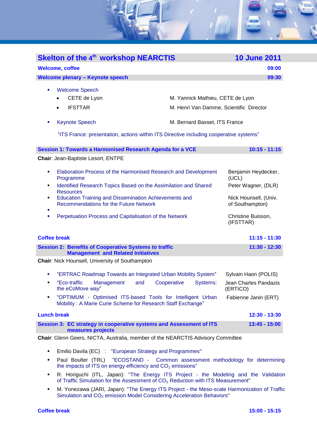

| $\mathcal{L}_{\mathcal{A}}$ | "ERTRAC Roadmap Towards an Integrated Urban Mobility System"                                                              |                         |     |             |          | Sylvain Haon (POLIS)              |
|-----------------------------|---------------------------------------------------------------------------------------------------------------------------|-------------------------|-----|-------------|----------|-----------------------------------|
| ٠                           | the eCoMove way"                                                                                                          | "Eco-traffic Management | and | Cooperative | Systems: | Jean Charles Pandazis<br>(ERTICO) |
| ٠                           | "OPTIMUM - Optimised ITS-based Tools for Intelligent Urban<br>Mobility: A Marie Curie Scheme for Research Staff Exchange" |                         |     |             |          | Fabienne Janin (ERT)              |

#### **Lunch break 12:30 - 13:30 Session 3: EC strategy in cooperative systems and Assessment of ITS measures projects 13:45 - 15:00**

**Chair**: Glenn Geers, NICTA, Australia, member of the NEARCTIS Advisory Committee

- Emilio Davila (EC) : "European Strategy and Programmes"
- Paul Boulter (TRL) "ECOSTAND Common assessment methodology for determining the impacts of ITS on energy efficiency and  $CO<sub>2</sub>$  emissions"
- **R.** Horiguchi (ITL, Japan): "The Energy ITS Project the Modeling and the Validation of Traffic Simulation for the Assessment of CO<sub>2</sub> Reduction with ITS Measurement"
- M. Yonezawa (JARI, Japan): "The Energy ITS Project the Meso-scale Harmonization of Traffic Simulation and CO<sub>2</sub> emission Model Considering Acceleration Behaviors"